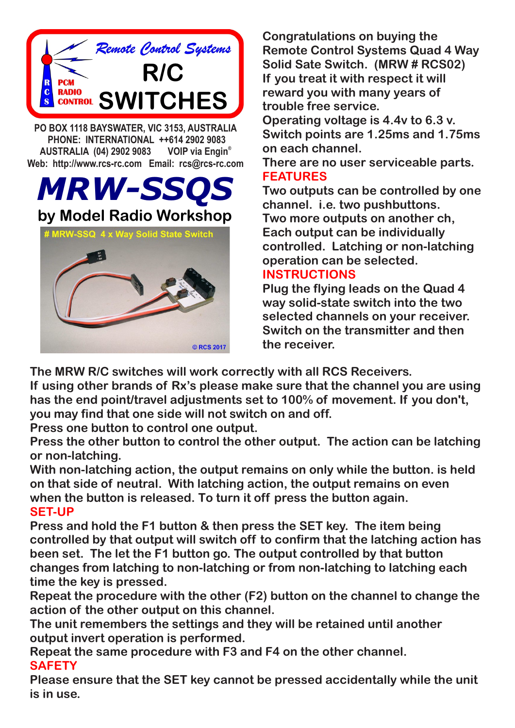

**Congratulations on buying the Remote Control Systems Quad 4 Way Solid Sate Switch. (MRW # RCS02) If you treat it with respect it will reward you with many years of trouble free service. Operating voltage is 4.4v to 6.3 v. Switch points are 1.25ms and 1.75ms on each channel. There are no user serviceable parts. FEATURES Two outputs can be controlled by one channel. i.e. two pushbuttons. Two more outputs on another ch, Each output can be individually controlled. Latching or non-latching operation can be selected. INSTRUCTIONS Plug the flying leads on the Quad 4** 

**way solid-state switch into the two selected channels on your receiver. Switch on the transmitter and then the receiver.**

**The MRW R/C switches will work correctly with all RCS Receivers.**

**If using other brands of Rx's please make sure that the channel you are using has the end point/travel adjustments set to 100% of movement. If you don't, you may find that one side will not switch on and off.**

**Press one button to control one output.** 

**Press the other button to control the other output. The action can be latching or non-latching.**

**With non-latching action, the output remains on only while the button. is held on that side of neutral. With latching action, the output remains on even when the button is released. To turn it off press the button again. SET-UP**

**Press and hold the F1 button & then press the SET key. The item being controlled by that output will switch off to confirm that the latching action has been set. The let the F1 button go. The output controlled by that button changes from latching to non-latching or from non-latching to latching each time the key is pressed.**

**Repeat the procedure with the other (F2) button on the channel to change the action of the other output on this channel.**

**The unit remembers the settings and they will be retained until another output invert operation is performed.**

**Repeat the same procedure with F3 and F4 on the other channel. SAFETY**

**Please ensure that the SET key cannot be pressed accidentally while the unit is in use.**